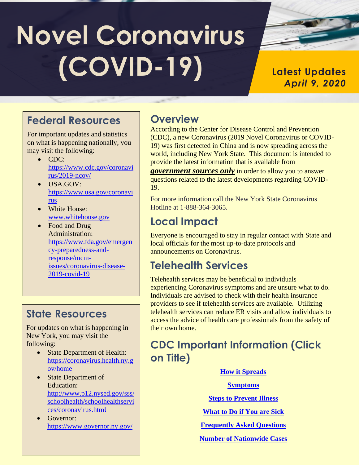# **Novel Coronavirus (COVID-19)**

#### **Latest Updates** *April 9, 2020*

## **Federal Resources**

For important updates and statistics on what is happening nationally, you may visit the following:

- CDC: [https://www.cdc.gov/coronavi](https://www.cdc.gov/coronavirus/2019-ncov/) [rus/2019-ncov/](https://www.cdc.gov/coronavirus/2019-ncov/)
- USA.GOV: [https://www.usa.gov/coronavi](https://www.usa.gov/coronavirus) [rus](https://www.usa.gov/coronavirus)
- White House: [www.whitehouse.gov](http://www.whitehouse.gov/)
- Food and Drug Administration: [https://www.fda.gov/emergen](https://www.fda.gov/emergency-preparedness-and-response/mcm-issues/coronavirus-disease-2019-covid-19) [cy-preparedness-and](https://www.fda.gov/emergency-preparedness-and-response/mcm-issues/coronavirus-disease-2019-covid-19)[response/mcm](https://www.fda.gov/emergency-preparedness-and-response/mcm-issues/coronavirus-disease-2019-covid-19)[issues/coronavirus-disease-](https://www.fda.gov/emergency-preparedness-and-response/mcm-issues/coronavirus-disease-2019-covid-19)[2019-covid-19](https://www.fda.gov/emergency-preparedness-and-response/mcm-issues/coronavirus-disease-2019-covid-19)

# **State Resources**

For updates on what is happening in New York, you may visit the following:

- State Department of Health: [https://coronavirus.health.ny.g](https://coronavirus.health.ny.gov/home) [ov/home](https://coronavirus.health.ny.gov/home)
- State Department of Education: [http://www.p12.nysed.gov/sss/](http://www.p12.nysed.gov/sss/schoolhealth/schoolhealthservices/coronavirus.html) [schoolhealth/schoolhealthservi](http://www.p12.nysed.gov/sss/schoolhealth/schoolhealthservices/coronavirus.html) [ces/coronavirus.htm](http://www.p12.nysed.gov/sss/schoolhealth/schoolhealthservices/coronavirus.html)l
- Governor: <https://www.governor.ny.gov/>

# **Overview**

According to the Center for Disease Control and Prevention (CDC), a new Coronavirus (2019 Novel Coronavirus or COVID-19) was first detected in China and is now spreading across the world, including New York State. This document is intended to provide the latest information that is available from

*government sources only* in order to allow you to answer questions related to the latest developments regarding COVID-19.

For more information call the New York State Coronavirus Hotline at 1-888-364-3065.

# **Local Impact**

Everyone is encouraged to stay in regular contact with State and local officials for the most up-to-date protocols and announcements on Coronavirus.

## **Telehealth Services**

Telehealth services may be beneficial to individuals experiencing Coronavirus symptoms and are unsure what to do. Individuals are advised to check with their health insurance providers to see if telehealth services are available. Utilizing telehealth services can reduce ER visits and allow individuals to access the advice of health care professionals from the safety of their own home.

## **CDC Important Information (Click on Title)**

#### **[How it Spreads](https://www.cdc.gov/coronavirus/2019-ncov/about/transmission.html)**

**[Symptoms](https://www.cdc.gov/coronavirus/2019-ncov/about/symptoms.html)**

**[Steps to Prevent Illness](https://www.cdc.gov/coronavirus/2019-ncov/about/prevention.html?CDC_AA_refVal=https%3A%2F%2Fwww.cdc.gov%2Fcoronavirus%2F2019-ncov%2Fabout%2Fprevention-treatment.html)**

- **[What to Do if You are Sick](https://www.cdc.gov/coronavirus/2019-ncov/about/steps-when-sick.html)**
- **[Frequently Asked Questions](https://www.cdc.gov/coronavirus/2019-ncov/faq.html)**
- **[Number of Nationwide Cases](https://www.cdc.gov/coronavirus/2019-ncov/cases-in-us.html)**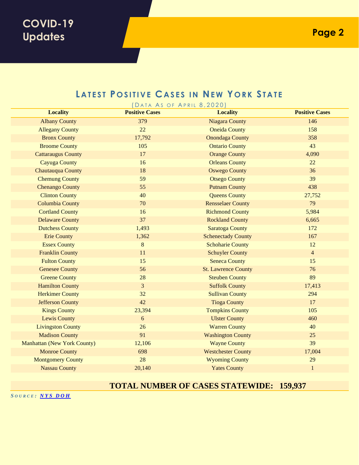#### **LATEST POSITIVE CASES IN NEW YORK STATE**

| DATA AS OF APRIL 8, 2020)   |                       |                            |                       |
|-----------------------------|-----------------------|----------------------------|-----------------------|
| <b>Locality</b>             | <b>Positive Cases</b> | <b>Locality</b>            | <b>Positive Cases</b> |
| <b>Albany County</b>        | 379                   | <b>Niagara County</b>      | 146                   |
| <b>Allegany County</b>      | 22                    | <b>Oneida County</b>       | 158                   |
| <b>Bronx County</b>         | 17,792                | <b>Onondaga County</b>     | 358                   |
| <b>Broome County</b>        | 105                   | <b>Ontario County</b>      | 43                    |
| <b>Cattaraugus County</b>   | 17                    | <b>Orange County</b>       | 4,090                 |
| <b>Cayuga County</b>        | 16                    | <b>Orleans County</b>      | 22                    |
| Chautauqua County           | 18                    | <b>Oswego County</b>       | 36                    |
| <b>Chemung County</b>       | 59                    | <b>Otsego County</b>       | 39                    |
| <b>Chenango County</b>      | 55                    | <b>Putnam County</b>       | 438                   |
| <b>Clinton County</b>       | 40                    | <b>Queens County</b>       | 27,752                |
| <b>Columbia County</b>      | 70                    | <b>Rensselaer County</b>   | 79                    |
| <b>Cortland County</b>      | 16                    | <b>Richmond County</b>     | 5,984                 |
| <b>Delaware County</b>      | 37                    | <b>Rockland County</b>     | 6,665                 |
| <b>Dutchess County</b>      | 1,493                 | <b>Saratoga County</b>     | 172                   |
| <b>Erie County</b>          | 1,362                 | <b>Schenectady County</b>  | 167                   |
| <b>Essex County</b>         | $8\,$                 | <b>Schoharie County</b>    | 12                    |
| <b>Franklin County</b>      | 11                    | <b>Schuyler County</b>     | $\overline{4}$        |
| <b>Fulton County</b>        | 15                    | <b>Seneca County</b>       | 15                    |
| <b>Genesee County</b>       | 56                    | <b>St. Lawrence County</b> | 76                    |
| <b>Greene County</b>        | 28                    | <b>Steuben County</b>      | 89                    |
| <b>Hamilton County</b>      | $\overline{3}$        | <b>Suffolk County</b>      | 17,413                |
| <b>Herkimer County</b>      | 32                    | <b>Sullivan County</b>     | 294                   |
| <b>Jefferson County</b>     | 42                    | <b>Tioga County</b>        | 17                    |
| <b>Kings County</b>         | 23,394                | <b>Tompkins County</b>     | 105                   |
| <b>Lewis County</b>         | $\sqrt{6}$            | <b>Ulster County</b>       | 460                   |
| <b>Livingston County</b>    | 26                    | <b>Warren County</b>       | 40                    |
| <b>Madison County</b>       | 91                    | <b>Washington County</b>   | 25                    |
| Manhattan (New York County) | 12,106                | <b>Wayne County</b>        | 39                    |
| <b>Monroe County</b>        | 698                   | <b>Westchester County</b>  | 17,004                |
| <b>Montgomery County</b>    | 28                    | <b>Wyoming County</b>      | 29                    |
| <b>Nassau County</b>        | 20,140                | <b>Yates County</b>        | $\mathbf{1}$          |

#### **TOTAL NUMBER OF CASES STATEWIDE: 159,937**

*S O U R C E : N Y S [DOH](http://www.ny.gov/covid-19tracker)*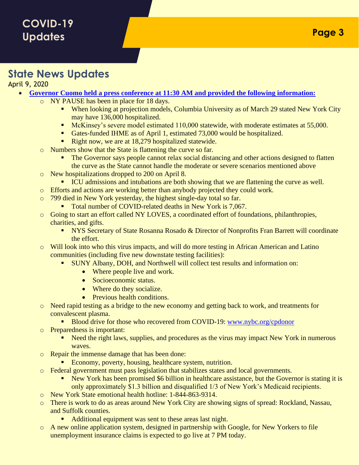#### **State News Updates**

April 9, 2020

- **[Governor Cuomo held a press conference at 11:30 AM](https://www.governor.ny.gov/news/amid-ongoing-covid-19-pandemic-governor-cuomo-announces-five-new-covid-19-testing-facilities) and provided the following information:**
	- o NY PAUSE has been in place for 18 days.
		- When looking at projection models, Columbia University as of March 29 stated New York City may have 136,000 hospitalized.
		- **EXECUTE:** McKinsey's severe model estimated 110,000 statewide, with moderate estimates at 55,000.
		- **Exercise 1** Gates-funded IHME as of April 1, estimated 73,000 would be hospitalized.
		- Right now, we are at 18,279 hospitalized statewide.
	- o Numbers show that the State is flattening the curve so far.
		- The Governor says people cannot relax social distancing and other actions designed to flatten the curve as the State cannot handle the moderate or severe scenarios mentioned above
	- o New hospitalizations dropped to 200 on April 8.
	- **ICU admissions and intubations are both showing that we are flattening the curve as well.**
	- o Efforts and actions are working better than anybody projected they could work.
	- o 799 died in New York yesterday, the highest single-day total so far.
		- Total number of COVID-related deaths in New York is 7,067.
	- o Going to start an effort called NY LOVES, a coordinated effort of foundations, philanthropies, charities, and gifts.
		- **EXECRETARY IS SECRETARY OF STATE ROSANNA ROSADO & Director of Nonprofits Fran Barrett will coordinate** the effort.
	- o Will look into who this virus impacts, and will do more testing in African American and Latino communities (including five new downstate testing facilities):
		- SUNY Albany, DOH, and Northwell will collect test results and information on:
			- Where people live and work.
			- Socioeconomic status.
			- Where do they socialize.
			- Previous health conditions.
	- o Need rapid testing as a bridge to the new economy and getting back to work, and treatments for convalescent plasma.
		- Blood drive for those who recovered from COVID-19: [www.nybc.org/cpdonor](http://www.nybc.org/cpdonor)
	- o Preparedness is important:
		- Need the right laws, supplies, and procedures as the virus may impact New York in numerous waves.
	- o Repair the immense damage that has been done:
		- Economy, poverty, housing, healthcare system, nutrition.
	- o Federal government must pass legislation that stabilizes states and local governments.
		- New York has been promised \$6 billion in healthcare assistance, but the Governor is stating it is only approximately \$1.3 billion and disqualified 1/3 of New York's Medicaid recipients.
	- o New York State emotional health hotline: 1-844-863-9314.
	- There is work to do as areas around New York City are showing signs of spread: Rockland, Nassau, and Suffolk counties.
		- Additional equipment was sent to these areas last night.
	- A new online application system, designed in partnership with Google, for New Yorkers to file unemployment insurance claims is expected to go live at 7 PM today.